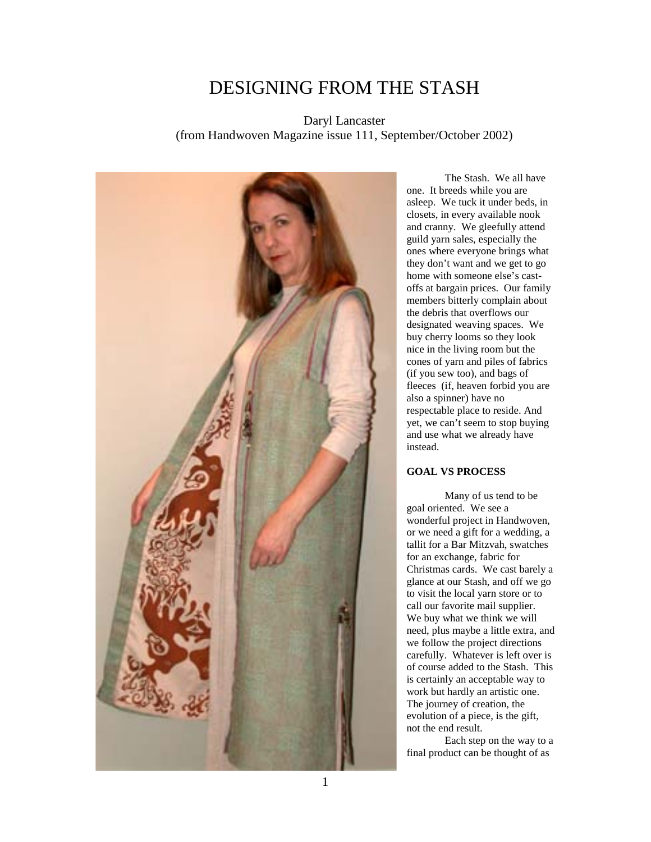# DESIGNING FROM THE STASH

Daryl Lancaster (from Handwoven Magazine issue 111, September/October 2002)



The Stash. We all have one. It breeds while you are asleep. We tuck it under beds, in closets, in every available nook and cranny. We gleefully attend guild yarn sales, especially the ones where everyone brings what they don't want and we get to go home with someone else's castoffs at bargain prices. Our family members bitterly complain about the debris that overflows our designated weaving spaces. We buy cherry looms so they look nice in the living room but the cones of yarn and piles of fabrics (if you sew too), and bags of fleeces (if, heaven forbid you are also a spinner) have no respectable place to reside. And yet, we can't seem to stop buying and use what we already have instead.

# **GOAL VS PROCESS**

Many of us tend to be goal oriented. We see a wonderful project in Handwoven, or we need a gift for a wedding, a tallit for a Bar Mitzvah, swatches for an exchange, fabric for Christmas cards. We cast barely a glance at our Stash, and off we go to visit the local yarn store or to call our favorite mail supplier. We buy what we think we will need, plus maybe a little extra, and we follow the project directions carefully. Whatever is left over is of course added to the Stash. This is certainly an acceptable way to work but hardly an artistic one. The journey of creation, the evolution of a piece, is the gift, not the end result.

Each step on the way to a final product can be thought of as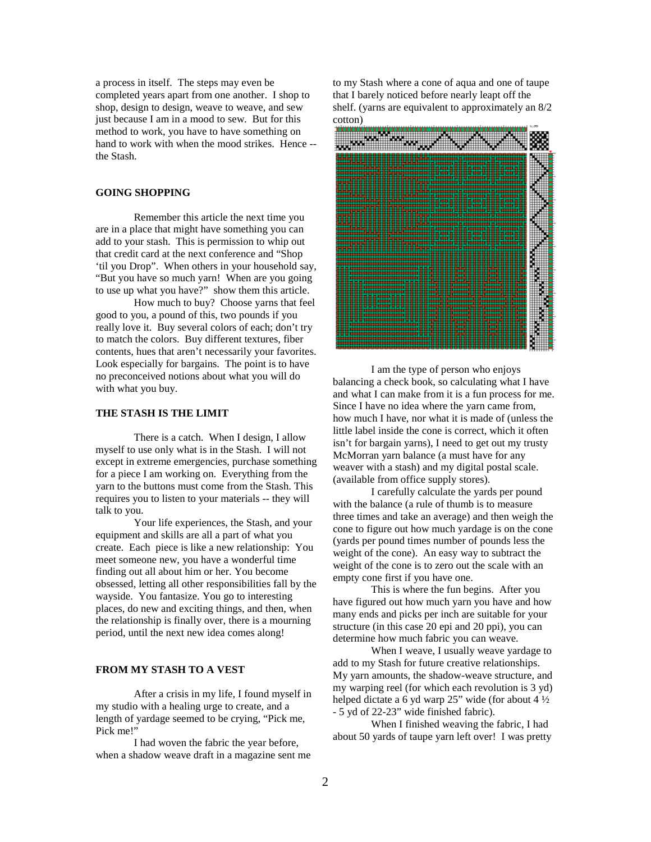a process in itself. The steps may even be completed years apart from one another. I shop to shop, design to design, weave to weave, and sew just because I am in a mood to sew. But for this method to work, you have to have something on hand to work with when the mood strikes. Hence - the Stash.

# **GOING SHOPPING**

Remember this article the next time you are in a place that might have something you can add to your stash. This is permission to whip out that credit card at the next conference and "Shop 'til you Drop". When others in your household say, "But you have so much yarn! When are you going to use up what you have?" show them this article.

How much to buy? Choose yarns that feel good to you, a pound of this, two pounds if you really love it. Buy several colors of each; don't try to match the colors. Buy different textures, fiber contents, hues that aren't necessarily your favorites. Look especially for bargains. The point is to have no preconceived notions about what you will do with what you buy.

#### **THE STASH IS THE LIMIT**

There is a catch. When I design, I allow myself to use only what is in the Stash. I will not except in extreme emergencies, purchase something for a piece I am working on. Everything from the yarn to the buttons must come from the Stash. This requires you to listen to your materials -- they will talk to you.

Your life experiences, the Stash, and your equipment and skills are all a part of what you create. Each piece is like a new relationship: You meet someone new, you have a wonderful time finding out all about him or her. You become obsessed, letting all other responsibilities fall by the wayside. You fantasize. You go to interesting places, do new and exciting things, and then, when the relationship is finally over, there is a mourning period, until the next new idea comes along!

#### **FROM MY STASH TO A VEST**

After a crisis in my life, I found myself in my studio with a healing urge to create, and a length of yardage seemed to be crying, "Pick me, Pick me!"

I had woven the fabric the year before, when a shadow weave draft in a magazine sent me to my Stash where a cone of aqua and one of taupe that I barely noticed before nearly leapt off the shelf. (yarns are equivalent to approximately an 8/2 cotton)



I am the type of person who enjoys balancing a check book, so calculating what I have and what I can make from it is a fun process for me. Since I have no idea where the yarn came from, how much I have, nor what it is made of (unless the little label inside the cone is correct, which it often isn't for bargain yarns), I need to get out my trusty McMorran yarn balance (a must have for any weaver with a stash) and my digital postal scale. (available from office supply stores).

I carefully calculate the yards per pound with the balance (a rule of thumb is to measure three times and take an average) and then weigh the cone to figure out how much yardage is on the cone (yards per pound times number of pounds less the weight of the cone). An easy way to subtract the weight of the cone is to zero out the scale with an empty cone first if you have one.

This is where the fun begins. After you have figured out how much yarn you have and how many ends and picks per inch are suitable for your structure (in this case 20 epi and 20 ppi), you can determine how much fabric you can weave.

When I weave, I usually weave yardage to add to my Stash for future creative relationships. My yarn amounts, the shadow-weave structure, and my warping reel (for which each revolution is 3 yd) helped dictate a 6 yd warp 25" wide (for about 4 ½ - 5 yd of 22-23" wide finished fabric).

When I finished weaving the fabric, I had about 50 yards of taupe yarn left over! I was pretty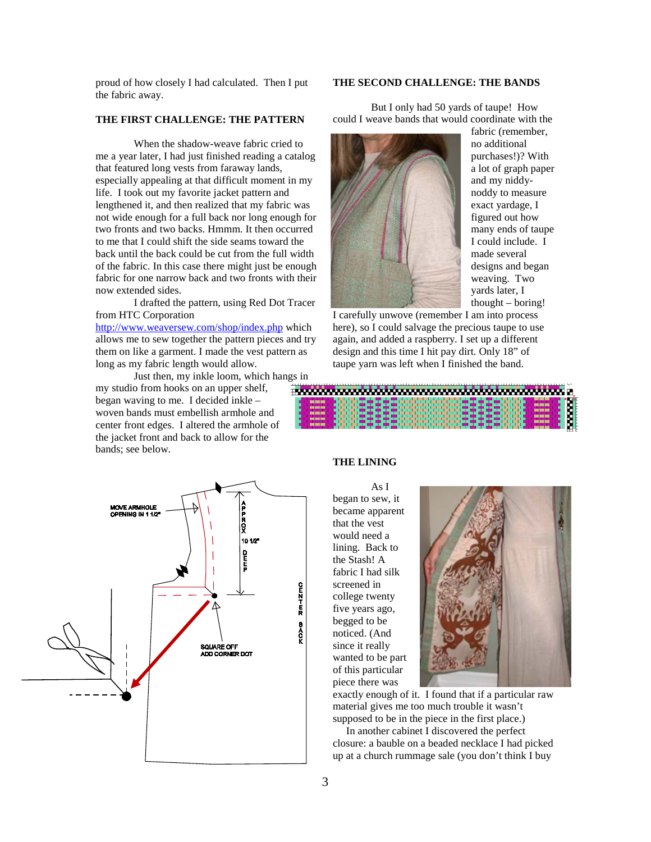proud of how closely I had calculated. Then I put the fabric away.

# **THE FIRST CHALLENGE: THE PATTERN**

When the shadow-weave fabric cried to me a year later, I had just finished reading a catalog that featured long vests from faraway lands, especially appealing at that difficult moment in my life. I took out my favorite jacket pattern and lengthened it, and then realized that my fabric was not wide enough for a full back nor long enough for two fronts and two backs. Hmmm. It then occurred to me that I could shift the side seams toward the back until the back could be cut from the full width of the fabric. In this case there might just be enough fabric for one narrow back and two fronts with their now extended sides.

I drafted the pattern, using Red Dot Tracer from HTC Corporation

<http://www.weaversew.com/shop/index.php> which allows me to sew together the pattern pieces and try them on like a garment. I made the vest pattern as long as my fabric length would allow.

Just then, my inkle loom, which hangs in my studio from hooks on an upper shelf, began waving to me. I decided inkle – woven bands must embellish armhole and center front edges. I altered the armhole of the jacket front and back to allow for the bands; see below.



### **THE SECOND CHALLENGE: THE BANDS**

But I only had 50 yards of taupe! How could I weave bands that would coordinate with the



fabric (remember, no additional purchases!)? With a lot of graph paper and my niddynoddy to measure exact yardage, I figured out how many ends of taupe I could include. I made several designs and began weaving. Two yards later, I thought – boring!

I carefully unwove (remember I am into process here), so I could salvage the precious taupe to use again, and added a raspberry. I set up a different design and this time I hit pay dirt. Only 18" of taupe yarn was left when I finished the band.



# **THE LINING**

As I began to sew, it became apparent that the vest would need a lining. Back to the Stash! A fabric I had silk screened in college twenty five years ago, begged to be noticed. (And since it really wanted to be part of this particular piece there was



exactly enough of it. I found that if a particular raw material gives me too much trouble it wasn't supposed to be in the piece in the first place.)

 In another cabinet I discovered the perfect closure: a bauble on a beaded necklace I had picked up at a church rummage sale (you don't think I buy